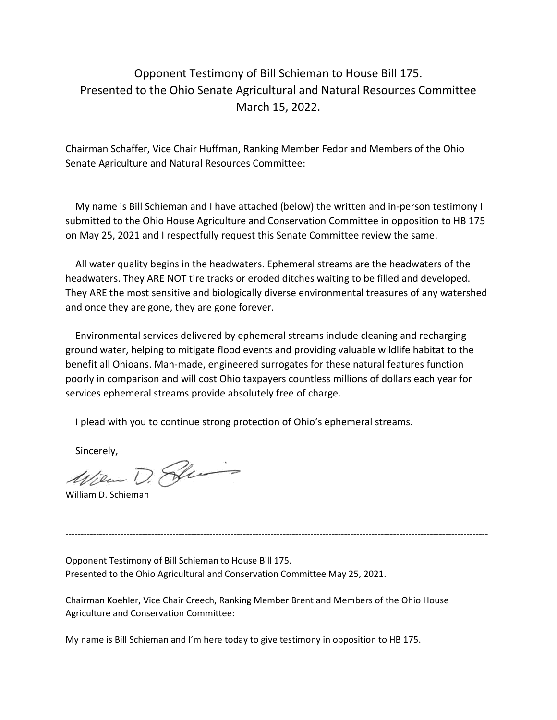## Opponent Testimony of Bill Schieman to House Bill 175. Presented to the Ohio Senate Agricultural and Natural Resources Committee March 15, 2022.

Chairman Schaffer, Vice Chair Huffman, Ranking Member Fedor and Members of the Ohio Senate Agriculture and Natural Resources Committee:

 My name is Bill Schieman and I have attached (below) the written and in-person testimony I submitted to the Ohio House Agriculture and Conservation Committee in opposition to HB 175 on May 25, 2021 and I respectfully request this Senate Committee review the same.

 All water quality begins in the headwaters. Ephemeral streams are the headwaters of the headwaters. They ARE NOT tire tracks or eroded ditches waiting to be filled and developed. They ARE the most sensitive and biologically diverse environmental treasures of any watershed and once they are gone, they are gone forever.

 Environmental services delivered by ephemeral streams include cleaning and recharging ground water, helping to mitigate flood events and providing valuable wildlife habitat to the benefit all Ohioans. Man-made, engineered surrogates for these natural features function poorly in comparison and will cost Ohio taxpayers countless millions of dollars each year for services ephemeral streams provide absolutely free of charge.

I plead with you to continue strong protection of Ohio's ephemeral streams.

Sincerely,<br>*Willow D. Polen* 

William D. Schieman

Opponent Testimony of Bill Schieman to House Bill 175. Presented to the Ohio Agricultural and Conservation Committee May 25, 2021.

Chairman Koehler, Vice Chair Creech, Ranking Member Brent and Members of the Ohio House Agriculture and Conservation Committee:

------------------------------------------------------------------------------------------------------------------------------------------

My name is Bill Schieman and I'm here today to give testimony in opposition to HB 175.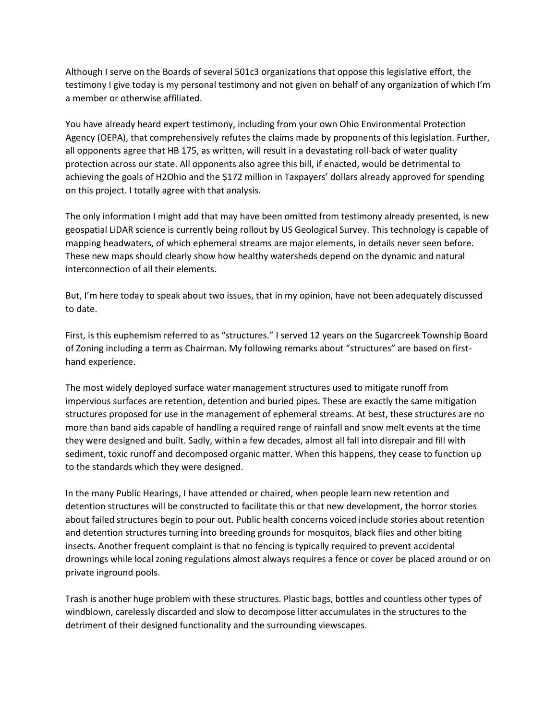Although I serve on the Boards of several 501c3 organizations that oppose this legislative effort, the testimony I give today is my personal testimony and not given on behalf of any organization of which I'm a member or otherwise affiliated.

You have already heard expert testimony, including from your own Ohio Environmental Protection Agency (OEPA), that comprehensively refutes the claims made by proponents of this legislation. Further, all opponents agree that HB 175, as written, will result in a devastating roll-back of water quality protection across our state. All opponents also agree this bill, if enacted, would be detrimental to achieving the goals of H2Ohio and the \$172 million in Taxpayers' dollars already approved for spending on this project. I totally agree with that analysis.

The only information I might add that may have been omitted from testimony already presented, is new geospatial LiDAR science is currently being rollout by US Geological Survey. This technology is capable of mapping headwaters, of which ephemeral streams are major elements, in details never seen before. These new maps should clearly show how healthy watersheds depend on the dynamic and natural interconnection of all their elements.

But, I'm here today to speak about two issues, that in my opinion, have not been adequately discussed to date.

First, is this euphemism referred to as "structures." I served 12 years on the Sugarcreek Township Board of Zoning including a term as Chairman. My following remarks about "structures" are based on firsthand experience.

The most widely deployed surface water management structures used to mitigate runoff from impervious surfaces are retention, detention and buried pipes. These are exactly the same mitigation structures proposed for use in the management of ephemeral streams. At best, these structures are no more than band aids capable of handling a required range of rainfall and snow melt events at the time they were designed and built. Sadly, within a few decades, almost all fall into disrepair and fill with sediment, toxic runoff and decomposed organic matter. When this happens, they cease to function up to the standards which they were designed.

In the many Public Hearings, I have attended or chaired, when people learn new retention and detention structures will be constructed to facilitate this or that new development, the horror stories about failed structures begin to pour out. Public health concerns voiced include stories about retention and detention structures turning into breeding grounds for mosquitos, black flies and other biting insects. Another frequent complaint is that no fencing is typically required to prevent accidental drownings while local zoning regulations almost always requires a fence or cover be placed around or on private inground pools.

Trash is another huge problem with these structures. Plastic bags, bottles and countless other types of windblown, carelessly discarded and slow to decompose litter accumulates in the structures to the detriment of their designed functionality and the surrounding viewscapes.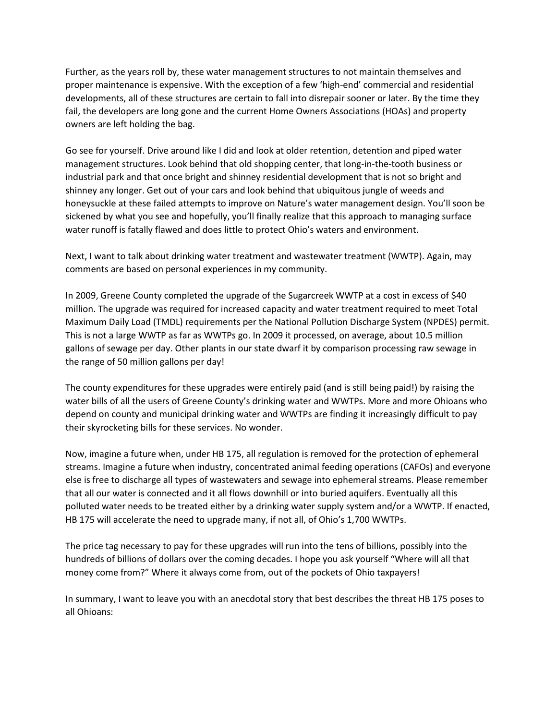Further, as the years roll by, these water management structures to not maintain themselves and proper maintenance is expensive. With the exception of a few 'high-end' commercial and residential developments, all of these structures are certain to fall into disrepair sooner or later. By the time they fail, the developers are long gone and the current Home Owners Associations (HOAs) and property owners are left holding the bag.

Go see for yourself. Drive around like I did and look at older retention, detention and piped water management structures. Look behind that old shopping center, that long-in-the-tooth business or industrial park and that once bright and shinney residential development that is not so bright and shinney any longer. Get out of your cars and look behind that ubiquitous jungle of weeds and honeysuckle at these failed attempts to improve on Nature's water management design. You'll soon be sickened by what you see and hopefully, you'll finally realize that this approach to managing surface water runoff is fatally flawed and does little to protect Ohio's waters and environment.

Next, I want to talk about drinking water treatment and wastewater treatment (WWTP). Again, may comments are based on personal experiences in my community.

In 2009, Greene County completed the upgrade of the Sugarcreek WWTP at a cost in excess of \$40 million. The upgrade was required for increased capacity and water treatment required to meet Total Maximum Daily Load (TMDL) requirements per the National Pollution Discharge System (NPDES) permit. This is not a large WWTP as far as WWTPs go. In 2009 it processed, on average, about 10.5 million gallons of sewage per day. Other plants in our state dwarf it by comparison processing raw sewage in the range of 50 million gallons per day!

The county expenditures for these upgrades were entirely paid (and is still being paid!) by raising the water bills of all the users of Greene County's drinking water and WWTPs. More and more Ohioans who depend on county and municipal drinking water and WWTPs are finding it increasingly difficult to pay their skyrocketing bills for these services. No wonder.

Now, imagine a future when, under HB 175, all regulation is removed for the protection of ephemeral streams. Imagine a future when industry, concentrated animal feeding operations (CAFOs) and everyone else is free to discharge all types of wastewaters and sewage into ephemeral streams. Please remember that all our water is connected and it all flows downhill or into buried aquifers. Eventually all this polluted water needs to be treated either by a drinking water supply system and/or a WWTP. If enacted, HB 175 will accelerate the need to upgrade many, if not all, of Ohio's 1,700 WWTPs.

The price tag necessary to pay for these upgrades will run into the tens of billions, possibly into the hundreds of billions of dollars over the coming decades. I hope you ask yourself "Where will all that money come from?" Where it always come from, out of the pockets of Ohio taxpayers!

In summary, I want to leave you with an anecdotal story that best describes the threat HB 175 poses to all Ohioans: